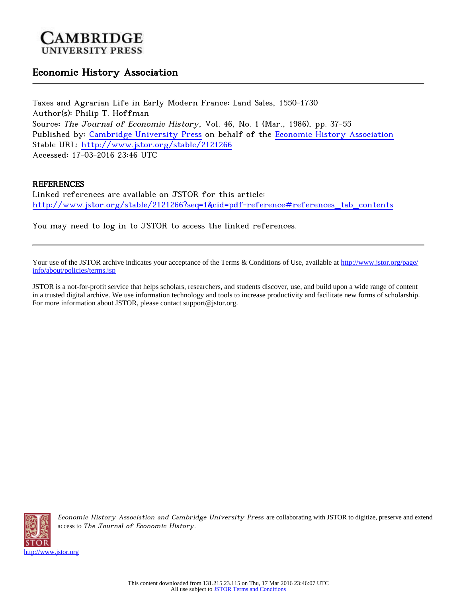## CAMBRIDGE **UNIVERSITY PRESS**

## Economic History Association

Taxes and Agrarian Life in Early Modern France: Land Sales, 1550-1730 Author(s): Philip T. Hoffman Source: The Journal of Economic History, Vol. 46, No. 1 (Mar., 1986), pp. 37-55 Published by: [Cambridge University Press](http://www.jstor.org/publisher/cup) on behalf of the [Economic History Association](http://www.jstor.org/publisher/eha) Stable URL: <http://www.jstor.org/stable/2121266> Accessed: 17-03-2016 23:46 UTC

#### **REFERENCES**

Linked references are available on JSTOR for this article: [http://www.jstor.org/stable/2121266?seq=1&cid=pdf-reference#references\\_tab\\_contents](http://www.jstor.org/stable/2121266?seq=1&cid=pdf-reference#references_tab_contents)

You may need to log in to JSTOR to access the linked references.

Your use of the JSTOR archive indicates your acceptance of the Terms & Conditions of Use, available at [http://www.jstor.org/page/](http://www.jstor.org/page/info/about/policies/terms.jsp) [info/about/policies/terms.jsp](http://www.jstor.org/page/info/about/policies/terms.jsp)

JSTOR is a not-for-profit service that helps scholars, researchers, and students discover, use, and build upon a wide range of content in a trusted digital archive. We use information technology and tools to increase productivity and facilitate new forms of scholarship. For more information about JSTOR, please contact support@jstor.org.



Economic History Association and Cambridge University Press are collaborating with JSTOR to digitize, preserve and extend access to The Journal of Economic History.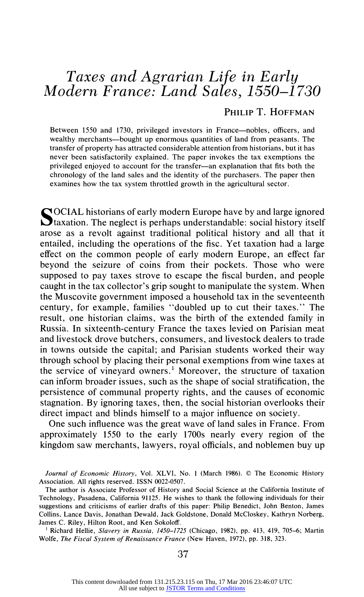# Taxes and Agrarian Life in Early Modern France: Land Sales, 1550–1730

#### PHILIP T. HOFFMAN  $-$

Between 1550 and 1730, privileged investors in France--nobles, officers, and wealthy merchants—bought up enormous quantities of land from peasants. The transfer of property has attracted considerable attention from historians, but it has never been satisfactorily explained. The paper invokes the tax exemptions the privileged enjoyed to account for the transfer-an explanation that fits both the chronology of the land sales and the identity of the purchasers. The paper then examines how the tax system throttled growth in the agricultural sector.

 SOCIAL historians of early modern Europe have by and large ignored  $\sum$  taxation. The neglect is perhaps understandable: social history itself arose as a revolt against traditional political history and all that it entailed, including the operations of the fisc. Yet taxation had a large effect on the common people of early modern Europe, an effect far beyond the seizure of coins from their pockets. Those who were supposed to pay taxes strove to escape the fiscal burden, and people caught in the tax collector's grip sought to manipulate the system. When the Muscovite government imposed a household tax in the seventeenth century, for example, families "doubled up to cut their taxes." The result, one historian claims, was the birth of the extended family in Russia. In sixteenth-century France the taxes levied on Parisian meat and livestock drove butchers, consumers, and livestock dealers to trade in towns outside the capital; and Parisian students worked their way through school by placing their personal exemptions from wine taxes at the service of vineyard owners.<sup>1</sup> Moreover, the structure of taxation can inform broader issues, such as the shape of social stratification, the persistence of communal property rights, and the causes of economic stagnation. By ignoring taxes, then, the social historian overlooks their direct impact and blinds himself to a major influence on society.

 One such influence was the great wave of land sales in France. From approximately 1550 to the early 1700s nearly every region of the kingdom saw merchants, lawyers, royal officials, and noblemen buy up

<sup>1</sup> Richard Hellie, Slavery in Russia, 1450–1725 (Chicago, 1982), pp. 413, 419, 705–6; Martin Wolfe, The Fiscal System of Renaissance France (New Haven, 1972), pp. 318, 323.

Journal of Economic History, Vol. XLVI, No. 1 (March 1986). © The Economic History Association. All rights reserved. ISSN 0022-0507.

The author is Associate Professor of History and Social Science at the California Institute of Technology, Pasadena, California 91125. He wishes to thank the following individuals for their suggestions and criticisms of earlier drafts of this paper: Philip Benedict, John Benton, James Collins, Lance Davis, Jonathan Dewald, Jack Goldstone, Donald McCloskey, Kathryn Norberg, James C. Riley, Hilton Root, and Ken Sokoloff.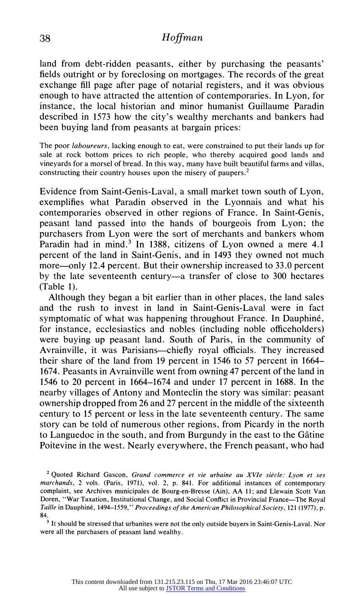land from debt-ridden peasants, either by purchasing the peasants' fields outright or by foreclosing on mortgages. The records of the great exchange fill page after page of notarial registers, and it was obvious enough to have attracted the attention of contemporaries. In Lyon, for instance, the local historian and minor humanist Guillaume Paradin described in 1573 how the city's wealthy merchants and bankers had been buying land from peasants at bargain prices:

The poor *laboureurs*, lacking enough to eat, were constrained to put their lands up for sale at rock bottom prices to rich people, who thereby acquired good lands and vineyards for a morsel of bread. In this way, many have built beautiful farms and villas, constructing their country houses upon the misery of paupers.<sup>2</sup>

 Evidence from Saint-Genis-Laval, a small market town south of Lyon, exemplifies what Paradin observed in the Lyonnais and what his contemporaries observed in other regions of France. In Saint-Genis, peasant land passed into the hands of bourgeois from Lyon; the purchasers from Lyon were the sort of merchants and bankers whom Paradin had in mind.<sup>3</sup> In 1388, citizens of Lyon owned a mere 4.1 percent of the land in Saint-Genis, and in 1493 they owned not much more-only 12.4 percent. But their ownership increased to 33.0 percent by the late seventeenth century-a transfer of close to 300 hectares (Table 1).

 Although they began a bit earlier than in other places, the land sales and the rush to invest in land in Saint-Genis-Laval were in fact symptomatic of what was happening throughout France. In Dauphine, for instance, ecclesiastics and nobles (including noble officeholders) were buying up peasant land. South of Paris, in the community of Avrainville, it was Parisians—chiefly royal officials. They increased their share of the land from 19 percent in 1546 to 57 percent in 1664- 1674. Peasants in Avrainville went from owning 47 percent of the land in 1546 to 20 percent in 1664-1674 and under 17 percent in 1688. In the nearby villages of Antony and Monteclin the story was similar: peasant ownership dropped from 26 and 27 percent in the middle of the sixteenth century to 15 percent or less in the late seventeenth century. The same story can be told of numerous other regions, from Picardy in the north to Languedoc in the south, and from Burgundy in the east to the Gatine Poitevine in the west. Nearly everywhere, the French peasant, who had

<sup>3</sup> It should be stressed that urbanites were not the only outside buyers in Saint-Genis-Laval. Nor were all the purchasers of peasant land wealthy.

<sup>&</sup>lt;sup>2</sup> Quoted Richard Gascon, Grand commerce et vie urbaine au XVIe siècle: Lyon et ses marchands, 2 vols. (Paris, 1971), vol. 2, p. 841. For additional instances of contemporary complaint, see Archives municipales de Bourg-en-Bresse (Ain), AA 11; and Llewain Scott Van Doren, "War Taxation, Institutional Change, and Social Conflict in Provincial France-The Royal Taille in Dauphin6, 1494-1559," Proceedings of the American Philosophical Society, 121 (1977), p. 84.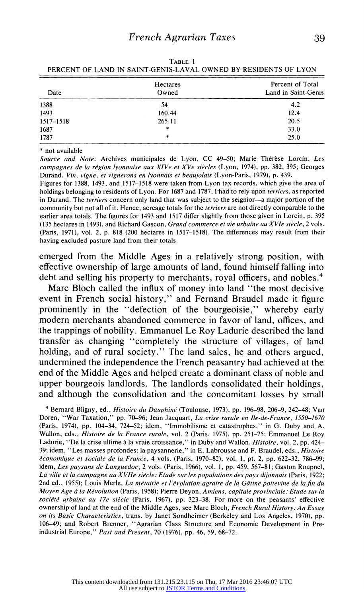| Date      | Hectares<br>Owned | Percent of Total<br>Land in Saint-Genis |
|-----------|-------------------|-----------------------------------------|
| 1388      | 54                | 4.2                                     |
| 1493      | 160.44            | 12.4                                    |
| 1517-1518 | 265.11            | 20.5                                    |
| 1687      | $\ast$            | 33.0                                    |
| 1787      | $\ast$            | 25.0                                    |

 TABLE 1 PERCENT OF LAND IN SAINT-GENIS-LAVAL OWNED BY RESIDENTS OF LYON

\* not available

Source and Note: Archives municipales de Lyon, CC 49-50; Marie Thérèse Lorcin, Les campagnes de la région lyonnaise aux XIVe et XVe siècles (Lyon, 1974), pp. 382, 395; Georges Durand, Vin, vigne, et vignerons en lyonnais et beaujolais (Lyon-Paris, 1979), p. 439.

 Figures for 1388, 1493, and 1517-1518 were taken from Lyon tax records, which give the area of holdings belonging to residents of Lyon. For 1687 and 1787, I had to rely upon *terriers*, as reported in Durand. The *terriers* concern only land that was subject to the seignior-a major portion of the community but not all of it. Hence, acreage totals for the *terriers* are not directly comparable to the earlier area totals. The figures for 1493 and 1517 differ slightly from those given in Lorcin, p. 395 (135 hectares in 1493), and Richard Gascon, Grand commerce et vie urbaine au XVIe siecle, 2 vols. (Paris, 1971), vol. 2, p. 818 (200 hectares in 1517-1518). The differences may result from their having excluded pasture land from their totals.

 emerged from the Middle Ages in a relatively strong position, with effective ownership of large amounts of land, found himself falling into debt and selling his property to merchants, royal officers, and nobles.<sup>4</sup>

 Marc Bloch called the influx of money into land "the most decisive event in French social history," and Fernand Braudel made it figure prominently in the "defection of the bourgeoisie," whereby early modern merchants abandoned commerce in favor of land, offices, and the trappings of nobility. Emmanuel Le Roy Ladurie described the land transfer as changing "completely the structure of villages, of land holding, and of rural society." The land sales, he and others argued, undermined the independence the French peasantry had achieved at the end of the Middle Ages and helped create a dominant class of noble and upper bourgeois landlords. The landlords consolidated their holdings, and although the consolidation and the concomitant losses by small

 4 Bernard Bligny, ed., Histoire du Dauphine (Toulouse, 1973), pp. 196-98, 206-9, 242-48; Van Doren, "War Taxation," pp. 70-96; Jean Jacquart, La crise rurale en Ile-de-France, 1550-1670 (Paris, 1974), pp. 104-34, 724-52; idem, "Immobilisme et catastrophes," in G. Duby and A. Wallon, eds., Histoire de la France rurale, vol. 2 (Paris, 1975), pp. 251-75; Emmanuel Le Roy Ladurie, "De la crise ultime à la vraie croissance," in Duby and Wallon, *Histoire*, vol. 2, pp. 424– 39; idem, "Les masses profondes: la paysannerie," in E. Labrousse and F. Braudel, eds., Histoire économique et sociale de la France, 4 vols. (Paris, 1970-82), vol. 1, pt. 2, pp. 622-32, 786-99; idem, Les paysans de Languedoc, 2 vols. (Paris, 1966), vol. 1, pp. 459, 567-81; Gaston Roupnel, La ville et la campagne au XVIIe siècle: Etude sur les populations des pays dijonnais (Paris, 1922; 2nd ed., 1955); Louis Merle, La métairie et l'évolution agraire de la Gâtine poitevine de la fin du Moyen Age à la Révolution (Paris, 1958); Pierre Deyon, Amiens, capitale provinciale: Etude sur la société urbaine au 17e siècle (Paris, 1967), pp. 323-38. For more on the peasants' effective ownership of land at the end of the Middle Ages, see Marc Bloch, French Rural History: An Essay on its Basic Characteristics, trans. by Janet Sondheimer (Berkeley and Los Angeles, 1970), pp. 106-49; and Robert Brenner, "Agrarian Class Structure and Economic Development in Pre industrial Europe," Past and Present, 70 (1976), pp. 46, 59, 68-72.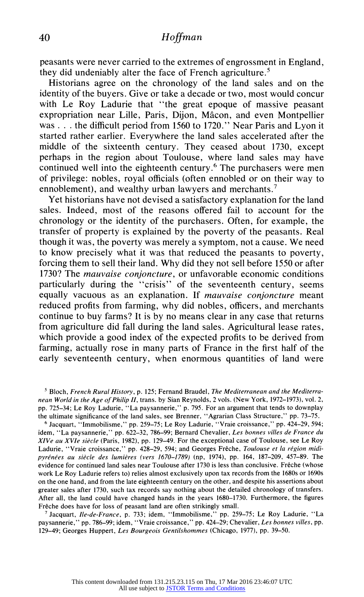peasants were never carried to the extremes of engrossment in England,  $t - t$  did under the face of  $\mathcal{L}$ 

 Historians agree on the chronology of the land sales and on the identity of the buyers. Give or take a decade or two, most would concur with Le Roy Ladurie that "the great epoque of massive peasant expropriation near Lille, Paris, Dijon, Macon, and even Montpellier was . . . the difficult period from 1560 to 1720." Near Paris and Lyon it started rather earlier. Everywhere the land sales accelerated after the middle of the sixteenth century. They ceased about 1730, except perhaps in the region about Toulouse, where land sales may have continued well into the eighteenth century.6 The purchasers were men of privilege: nobles, royal officials (often ennobled or on their way to ennoblement), and wealthy urban lawyers and merchants.<sup>7</sup>

 Yet historians have not devised a satisfactory explanation for the land sales. Indeed, most of the reasons offered fail to account for the chronology or the identity of the purchasers. Often, for example, the transfer of property is explained by the poverty of the peasants. Real though it was, the poverty was merely a symptom, not a cause. We need to know precisely what it was that reduced the peasants to poverty, forcing them to sell their land. Why did they not sell before 1550 or after 1730? The *mauvaise conjoncture*, or unfavorable economic conditions particularly during the "crisis" of the seventeenth century, seems equally vacuous as an explanation. If mauvaise conjoncture meant reduced profits from farming, why did nobles, officers, and merchants continue to buy farms? It is by no means clear in any case that returns from agriculture did fall during the land sales. Agricultural lease rates, which provide a good index of the expected profits to be derived from farming, actually rose in many parts of France in the first half of the early seventeenth century, when enormous quantities of land were

 5Bloch, French Rural History, p. 125; Fernand Braudel, The Mediterranean and the Mediterra nean World in the Age of Philip II, trans. by Sian Reynolds, 2 vols. (New York, 1972–1973), vol. 2, pp. 725-34; Le Roy Ladurie, "La paysannerie," p. 795. For an argument that tends to downplay the ultimate significance of the land sales, see Brenner, "Agrarian Class Structure," pp. 73-75.

 6 Jacquart, "Immobilisme," pp. 259-75; Le Roy Ladurie, "Vraie croissance," pp. 424-29, 594; idem, "La paysannerie," pp. 622-32, 786-99; Bernard Chevalier, Les bonnes villes de France du XIVe au XVIe siècle (Paris, 1982), pp. 129-49. For the exceptional case of Toulouse, see Le Roy Ladurie, "Vraie croissance," pp. 428-29, 594; and Georges Frêche, Toulouse et la région midi pyrenees au siecle des lumieres (vers 1670-1789) (np, 1974), pp. 164, 187-209, 457-89. The evidence for continued land sales near Toulouse after 1730 is less than conclusive. Freche (whose work Le Roy Ladurie refers to) relies almost exclusively upon tax records from the 1680s or 1690s on the one hand, and from the late eighteenth century on the other, and despite his assertions about greater sales after 1730, such tax records say nothing about the detailed chronology of transfers. After all, the land could have changed hands in the years 1680-1730. Furthermore, the figures Frêche does have for loss of peasant land are often strikingly small.

<sup>7</sup> Jacquart, Ile-de-France, p. 733; idem, "Immobilisme," pp. 259-75; Le Roy Ladurie, "La paysannerie," pp. 786-99; idem, "Vraie croissance," pp. 424-29; Chevalier, Les bonnes villes, pp. 129-49; Georges Huppert, Les Bourgeois Gentilshommes (Chicago, 1977), pp. 39-50.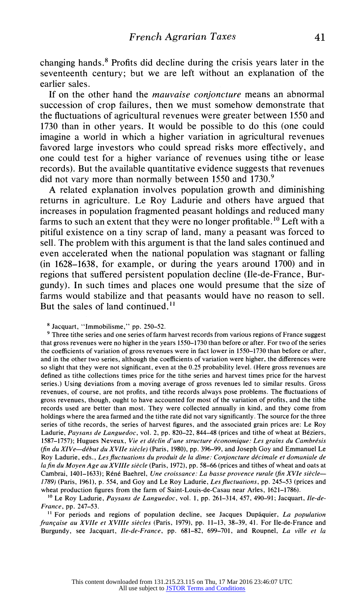changing hands.8 Profits did decline during the crisis years later in the seventeenth century; but we are left without an explanation of the earlier sales.

If on the other hand the *mauvaise conjoncture* means an abnormal succession of crop failures, then we must somehow demonstrate that the fluctuations of agricultural revenues were greater between 1550 and 1730 than in other years. It would be possible to do this (one could imagine a world in which a higher variation in agricultural revenues favored large investors who could spread risks more effectively, and one could test for a higher variance of revenues using tithe or lease records). But the available quantitative evidence suggests that revenues did not vary more than normally between 1550 and 1730. $9$ 

 A related explanation involves population growth and diminishing returns in agriculture. Le Roy Ladurie and others have argued that increases in population fragmented peasant holdings and reduced many farms to such an extent that they were no longer profitable.<sup>10</sup> Left with a pitiful existence on a tiny scrap of land, many a peasant was forced to sell. The problem with this argument is that the land sales continued and even accelerated when the national population was stagnant or falling (in 1628-1638, for example, or during the years around 1700) and in regions that suffered persistent population decline (Ile-de-France, Bur gundy). In such times and places one would presume that the size of farms would stabilize and that peasants would have no reason to sell. But the sales of land continued.<sup>11</sup>

<sup>10</sup> Le Roy Ladurie, *Paysans de Languedoc*, vol. 1, pp. 261–314, 457, 490–91; Jacquart, *Ile-de-*France, pp. 247-53.

<sup>11</sup> For periods and regions of population decline, see Jacques Dupaquier, La population française au XVIIe et XVIIIe siècles (Paris, 1979), pp. 11-13, 38-39, 41. For Ile-de-France and Burgundy, see Jacquart, Ile-de-France, pp. 681-82, 699-701, and Roupnel, La ville et la

 <sup>8</sup> Jacquart, "Immobilisme," pp. 250-52.

<sup>&</sup>lt;sup>9</sup> Three tithe series and one series of farm harvest records from various regions of France suggest that gross revenues were no higher in the years 1550-1730 than before or after. For two of the series the coefficients of variation of gross revenues were in fact lower in 1550-1730 than before or after, and in the other two series, although the coefficients of variation were higher, the differences were so slight that they were not significant, even at the 0.25 probability level. (Here gross revenues are defined as tithe collections times price for the tithe series and harvest times price for the harvest series.) Using deviations from a moving average of gross revenues led to similar results. Gross revenues, of course, are not profits, and tithe records always pose problems. The fluctuations of gross revenues, though, ought to have accounted for most of the variation of profits, and the tithe records used are better than most. They were collected annually in kind, and they come from holdings where the area farmed and the tithe rate did not vary significantly. The source for the three series of tithe records, the series of harvest figures, and the associated grain prices are: Le Roy Ladurie, Paysans de Languedoc, vol. 2, pp. 820-22, 844-48 (prices and tithe of wheat at Béziers, 1587-1757); Hugues Neveux, Vie et déclin d'une structure économique: Les grains du Cambrésis (fin du XIVe-début du XVIIe siècle) (Paris, 1980), pp. 396-99, and Joseph Goy and Emmanuel Le Roy Ladurie, eds., Les fluctuations du produit de la dîme: Conjoncture décimale et domaniale de  $la fin du Moyen Age au XVIIIe siècle$  (Paris, 1972), pp. 58–66 (prices and tithes of wheat and oats at Cambrai, 1401-1633); Réné Baehrel, Une croissance: La basse provence rurale (fin XVIe siècle-1789) (Paris, 1961), p. 554, and Goy and Le Roy Ladurie, Les fluctuations, pp. 245–53 (prices and wheat production figures from the farm of Saint-Louis-de-Casau near Arles, 1621-1786).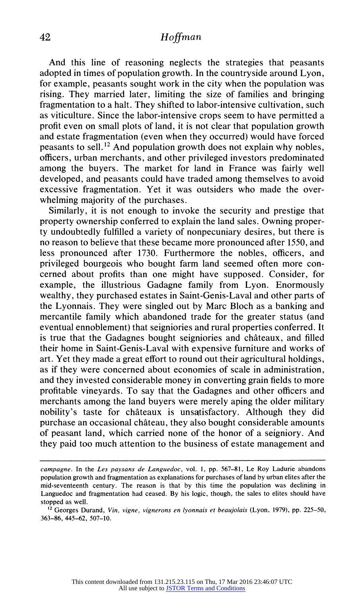And this line of reasoning neglects the strategies that peasants adopted in times of population growth. In the countryside around Lyon, for example, peasants sought work in the city when the population was rising. They married later, limiting the size of families and bringing fragmentation to a halt. They shifted to labor-intensive cultivation, such as viticulture. Since the labor-intensive crops seem to have permitted a profit even on small plots of land, it is not clear that population growth and estate fragmentation (even when they occurred) would have forced peasants to sell.'2 And population growth does not explain why nobles, officers, urban merchants, and other privileged investors predominated among the buyers. The market for land in France was fairly well developed, and peasants could have traded among themselves to avoid excessive fragmentation. Yet it was outsiders who made the over whelming majority of the purchases.

 Similarly, it is not enough to invoke the security and prestige that property ownership conferred to explain the land sales. Owning proper ty undoubtedly fulfilled a variety of nonpecuniary desires, but there is no reason to believe that these became more pronounced after 1550, and less pronounced after 1730. Furthermore the nobles, officers, and privileged bourgeois who bought farm land seemed often more con cerned about profits than one might have supposed. Consider, for example, the illustrious Gadagne family from Lyon. Enormously wealthy, they purchased estates in Saint-Genis-Laval and other parts of the Lyonnais. They were singled out by Marc Bloch as a banking and mercantile family which abandoned trade for the greater status (and eventual ennoblement) that seigniories and rural properties conferred. It is true that the Gadagnes bought seigniories and chateaux, and filled their home in Saint-Genis-Laval with expensive furniture and works of art. Yet they made a great effort to round out their agricultural holdings, as if they were concerned about economies of scale in administration, and they invested considerable money in converting grain fields to more profitable vineyards. To say that the Gadagnes and other officers and merchants among the land buyers were merely aping the older military nobility's taste for chateaux is unsatisfactory. Although they did purchase an occasional chateau, they also bought considerable amounts of peasant land, which carried none of the honor of a seigniory. And they paid too much attention to the business of estate management and

campagne. In the Les paysans de Languedoc, vol. 1, pp. 567-81, Le Roy Ladurie abandons population growth and fragmentation as explanations for purchases of land by urban elites after the mid-seventeenth century. The reason is that by this time the population was declining in Languedoc and fragmentation had ceased. By his logic, though, the sales to elites should have stopped as well.

<sup>&</sup>lt;sup>12</sup> Georges Durand, Vin, vigne, vignerons en lyonnais et beaujolais (Lyon, 1979), pp. 225-50, 363-86, 445-62, 507-10.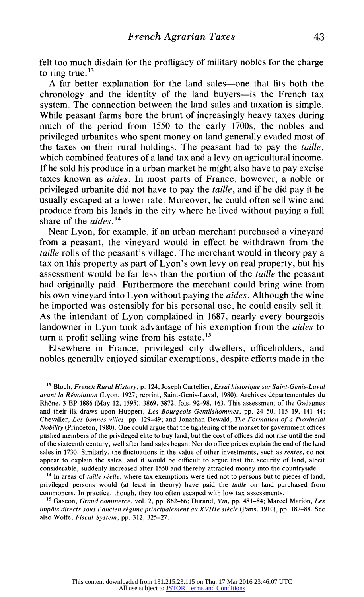felt too much disdain for the profligacy of military nobles for the charge to ring true. $13$ to ring true.13

A far better explanation for the land sales—one that fits both the chronology and the identity of the land buyers—is the French tax system. The connection between the land sales and taxation is simple. While peasant farms bore the brunt of increasingly heavy taxes during much of the period from 1550 to the early 1700s, the nobles and privileged urbanites who spent money on land generally evaded most of the taxes on their rural holdings. The peasant had to pay the taille, which combined features of a land tax and a levy on agricultural income. If he sold his produce in a urban market he might also have to pay excise taxes known as aides. In most parts of France, however, a noble or privileged urbanite did not have to pay the taille, and if he did pay it he usually escaped at a lower rate. Moreover, he could often sell wine and produce from his lands in the city where he lived without paying a full share of the *aides*.<sup>14</sup>

 Near Lyon, for example, if an urban merchant purchased a vineyard from a peasant, the vineyard would in effect be withdrawn from the taille rolls of the peasant's village. The merchant would in theory pay a tax on this property as part of Lyon's own levy on real property, but his assessment would be far less than the portion of the taille the peasant had originally paid. Furthermore the merchant could bring wine from his own vineyard into Lyon without paying the *aides*. Although the wine he imported was ostensibly for his personal use, he could easily sell it. As the intendant of Lyon complained in 1687, nearly every bourgeois landowner in Lyon took advantage of his exemption from the *aides* to turn a profit selling wine from his estate.<sup>15</sup>

 Elsewhere in France, privileged city dwellers, officeholders, and nobles generally enjoyed similar exemptions, despite efforts made in the

<sup>13</sup> Bloch, French Rural History, p. 124; Joseph Cartellier, Essai historique sur Saint-Genis-Laval avant la Révolution (Lyon, 1927; reprint, Saint-Genis-Laval, 1980); Archives départementales du Rh6ne, 3 BP 1886 (May 12, 1595), 3869, 3872, fols. 92-98, 163. This assessment of the Gadagnes and their ilk draws upon Huppert, Les Bourgeois Gentilshommes, pp. 24-50, 115-19, 141-44; Chevalier, Les bonnes villes, pp. 129-49; and Jonathan Dewald, The Formation of a Provincial Nobility (Princeton, 1980). One could argue that the tightening of the market for government offices pushed members of the privileged elite to buy land, but the cost of offices did not rise until the end of the sixteenth century, well after land sales began. Nor do office prices explain the end of the land sales in 1730. Similarly, the fluctuations in the value of other investments, such as rentes, do not appear to explain the sales, and it would be difficult to argue that the security of land, albeit considerable, suddenly increased after 1550 and thereby attracted money into the countryside.

 $14$  In areas of *taille réelle*, where tax exemptions were tied not to persons but to pieces of land, privileged persons would (at least in theory) have paid the *taille* on land purchased from commoners. In practice, though, they too often escaped with low tax assessments.

<sup>15</sup> Gascon, Grand commerce, vol. 2, pp. 862–66; Durand, Vin, pp. 481–84; Marcel Marion, Les impôts directs sous l'ancien régime principalement au XVIIIe siècle (Paris, 1910), pp. 187-88. See also Wolfe, Fiscal System, pp. 312, 325-27.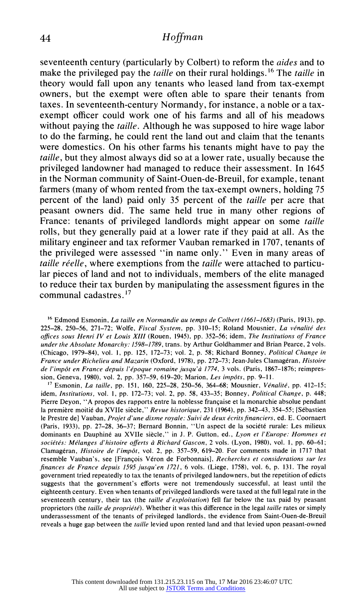seventeenth century (particularly by Colbert) to reform the *aides* and to make the privileged pay the *taille* on their rural holdings. <sup>16</sup> The *taille* in theory would fall upon any tenants who leased land from tax-exempt owners, but the exempt were often able to spare their tenants from taxes. In seventeenth-century Normandy, for instance, a noble or a tax exempt officer could work one of his farms and all of his meadows without paying the *taille*. Although he was supposed to hire wage labor to do the farming, he could rent the land out and claim that the tenants were domestics. On his other farms his tenants might have to pay the taille, but they almost always did so at a lower rate, usually because the privileged landowner had managed to reduce their assessment. In 1645 in the Norman community of Saint-Ouen-de-Breuil, for example, tenant farmers (many of whom rented from the tax-exempt owners, holding 75 percent of the land) paid only 35 percent of the taille per acre that peasant owners did. The same held true in many other regions of France: tenants of privileged landlords might appear on some taille rolls, but they generally paid at a lower rate if they paid at all. As the military engineer and tax reformer Vauban remarked in 1707, tenants of the privileged were assessed "in name only." Even in many areas of taille réelle, where exemptions from the *taille* were attached to particu lar pieces of land and not to individuals, members of the elite managed to reduce their tax burden by manipulating the assessment figures in the communal cadastres.<sup>17</sup>

<sup>16</sup> Edmond Esmonin, *La taille en Normandie au temps de Colbert (1661-1683)* (Paris, 1913), pp. 225-28, 250-56, 271-72; Wolfe, Fiscal System, pp. 310-15; Roland Mousnier, La venalite des offices sous Henri IV et Louis XIII (Rouen, 1945), pp. 352-56; idem, The Institutions of France under the Absolute Monarchy: 1598–1789, trans. by Arthur Goldhammer and Brian Pearce, 2 vols. (Chicago, 1979-84), vol. 1, pp. 125, 172-73; vol. 2, p. 58; Richard Bonney, Political Change in France under Richelieu and Mazarin (Oxford, 1978), pp. 272-73; Jean-Jules Clamagéran, Histoire de l'impôt en France depuis l'époque romaine jusqu'à 1774, 3 vols. (Paris, 1867-1876; reimpression, Geneva, 1980), vol. 2, pp. 357-59, 619-20; Marion, Les impôts, pp. 9-11.

<sup>17</sup> Esmonin, *La taille*, pp. 151, 160, 225–28, 250–56, 364–68; Mousnier, *Vénalité*, pp. 412–15; idem, Institutions, vol. 1, pp. 172-73; vol. 2, pp. 58, 433-35; Bonney, Political Change, p. 448; Pierre Deyon, "A propos des rapports entre la noblesse frangaise et la monarchie absolue pendant la première moitié du XVIIe siècle," Revue historique, 231 (1964), pp. 342-43, 354-55; [Sébastien le Prestre de] Vauban, Projet d'une dixme royale: Suivi de deux écrits financiers, ed. E. Coornaert (Paris, 1933), pp. 27-28, 36-37; Bernard Bonnin, "Un aspect de la société rurale: Les milieux dominants en Dauphiné au XVIIe siècle," in J. P. Gutton, ed., Lyon et l'Europe: Hommes et sociétés: Mélanges d'histoire offerts à Richard Gascon, 2 vols. (Lyon, 1980), vol. 1, pp. 60-61; Clamageran, Histoire de l'imp6t, vol. 2, pp. 357-59, 619-20. For comments made in 1717 that resemble Vauban's, see [François Véron de Forbonnais], Recherches et considerations sur les finances de France depuis 1595 jusqu'en 1721, 6 vols. (Liege, 1758), vol. 6, p. 131. The royal government tried repeatedly to tax the tenants of privileged landowners, but the repetition of edicts suggests that the government's efforts were not tremendously successful, at least until the eighteenth century. Even when tenants of privileged landlords were taxed at the full legal rate in the seventeenth century, their tax (the taille d'exploitation) fell far below the tax paid by peasant proprietors (the taille de propriété). Whether it was this difference in the legal taille rates or simply underassessment of the tenants of privileged landlords, the evidence from Saint-Ouen-de-Breuil reveals a huge gap between the taille levied upon rented land and that levied upon peasant-owned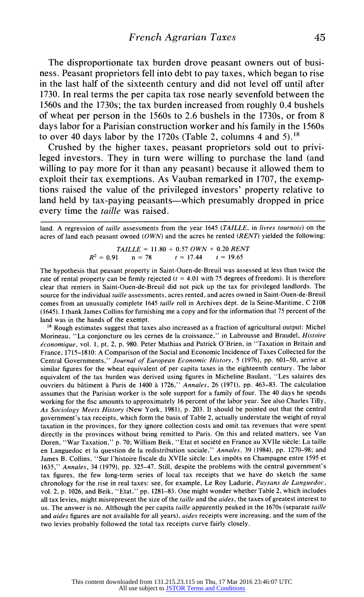The disproportionate tax burden drove peasant owners out of busi ness. Peasant proprietors fell into debt to pay taxes, which began to rise in the last half of the sixteenth century and did not level off until after 1730. In real terms the per capita tax rose nearly sevenfold between the 1560s and the 1730s; the tax burden increased from roughly 0.4 bushels of wheat per person in the 1560s to 2.6 bushels in the 1730s, or from 8 days labor for a Parisian construction worker and his family in the 1560s to over 40 days labor by the  $1720s$  (Table 2, columns 4 and 5).<sup>18</sup>

 Crushed by the higher taxes, peasant proprietors sold out to privi leged investors. They in turn were willing to purchase the land (and willing to pay more for it than any peasant) because it allowed them to exploit their tax exemptions. As Vauban remarked in 1707, the exemp tions raised the value of the privileged investors' property relative to land held by tax-paying peasants—which presumably dropped in price every time the taille was raised.

land. A regression of taille assessments from the year 1645 (TAILLE, in livres tournois) on the acres of land each peasant owned  $(OWN)$  and the acres he rented (RENT) yielded the following:

> $TAILLE = 11.80 + 0.57 \text{ OWN} + 0.20 \text{ RENT}$  $R^2 = 0.91$  $n = 78$  $t = 17.44$  $t = 19.65$

 The hypothesis that peasant property in Saint-Ouen-de-Breuil was assessed at less than twice the rate of rental property can be firmly rejected  $(t = 4.01 \text{ with } 75 \text{ degrees of freedom})$ . It is therefore clear that renters in Saint-Ouen-de-Breuil did not pick up the tax for privileged landlords. The source for the individual taille assessments, acres rented, and acres owned in Saint-Ouen-de-Breuil comes from an unusually complete 1645 taille roll in Archives dept. de la Seine-Maritime, C 2108 (1645). I thank James Collins for furnishing me a copy and for the information that 75 percent of the land was in the hands of the exempt.

<sup>18</sup> Rough estimates suggest that taxes also increased as a fraction of agricultural output: Michel Morineau, "La conjoncture ou les cernes de la croissance," in Labrousse and Braudel, Histoire économique, vol. 1, pt. 2, p. 980. Peter Mathias and Patrick O'Brien, in "Taxation in Britain and France, 1715-18 10: A Comparison of the Social and Economic Incidence of Taxes Collected for the Central Governments," Journal of European Economic History, 5 (1976), pp. 601-50, arrive at similar figures for the wheat equivalent of per capita taxes in the eighteenth century. The labor equivalent of the tax burden was derived using figures in Micheline Baulant, "Les salaires des ouvriers du bâtiment à Paris de 1400 à 1726," Annales, 26 (1971), pp. 463-83. The calculation assumes that the Parisian worker is the sole support for a family of four. The 40 days he spends working for the fisc amounts to approximately 16 percent of the labor year. See also Charles Tilly, As Sociology Meets History (New York, 1981), p. 203. It should be pointed out that the central government's tax receipts, which form the basis of Table 2, actually understate the weight of royal taxation in the provinces, for they ignore collection costs and omit tax revenues that were spent directly in the provinces without being remitted to Paris. On this and related matters, see Van Doren, "War Taxation," p. 70; William Beik, "Etat et société en France au XVIIe siècle: La taille en Languedoc et la question de la redistribution sociale," Annales, 39 (1984), pp. 1270-98; and James B. Collins, "Sur l'histoire fiscale du XVIIe siecle: Les impots en Champagne entre 1595 et 1635," Annales, 34 (1979), pp. 325-47. Still, despite the problems with the central government's tax figures, the few long-term series of local tax receipts that we have do sketch the same chronology for the rise in real taxes: see, for example, Le Roy Ladurie, Paysans de Languedoc, vol. 2, p. 1026, and Beik, "Etat," pp. 1281-83. One might wonder whether Table 2, which includes all tax levies, might misrepresent the size of the *taille* and the *aides*, the taxes of greatest interest to us. The answer is no. Although the per capita taille apparently peaked in the 1670s (separate taille and *aides* figures are not available for all years), *aides* receipts were increasing, and the sum of the two levies probably followed the total tax receipts curve fairly closely.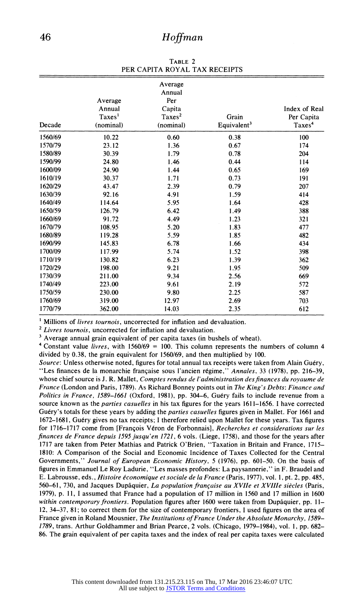|         | Average<br>Annual<br>Taxes <sup>1</sup> | Average<br>Annual<br>Per<br>Capita<br>Taxes <sup>2</sup> | Grain                   | Index of Real<br>Per Capita |
|---------|-----------------------------------------|----------------------------------------------------------|-------------------------|-----------------------------|
| Decade  | (nominal)                               | (nominal)                                                | Equivalent <sup>3</sup> | Taxes <sup>4</sup>          |
| 1560/69 | 10.22                                   | 0.60                                                     | 0.38                    | 100                         |
| 1570/79 | 23.12                                   | 1.36                                                     | 0.67                    | 174                         |
| 1580/89 | 30.39                                   | 1.79                                                     | 0.78                    | 204                         |
| 1590/99 | 24.80                                   | 1.46                                                     | 0.44                    | 114                         |
| 1600/09 | 24.90                                   | 1.44                                                     | 0.65                    | 169                         |
| 1610/19 | 30.37                                   | 1.71                                                     | 0.73                    | 191                         |
| 1620/29 | 43.47                                   | 2.39                                                     | 0.79                    | 207                         |
| 1630/39 | 92.16                                   | 4.91                                                     | 1.59                    | 414                         |
| 1640/49 | 114.64                                  | 5.95                                                     | 1.64                    | 428                         |
| 1650/59 | 126.79                                  | 6.42                                                     | 1.49                    | 388                         |
| 1660/69 | 91.72                                   | 4.49                                                     | 1.23                    | 321                         |
| 1670/79 | 108.95                                  | 5.20                                                     | 1.83                    | 477                         |
| 1680/89 | 119.28                                  | 5.59                                                     | 1.85                    | 482                         |
| 1690/99 | 145.83                                  | 6.78                                                     | 1.66                    | 434                         |
| 1700/09 | 117.99                                  | 5.74                                                     | 1.52                    | 398                         |
| 1710/19 | 130.82                                  | 6.23                                                     | 1.39                    | 362                         |
| 1720/29 | 198.00                                  | 9.21                                                     | 1.95                    | 509                         |
| 1730/39 | 211.00                                  | 9.34                                                     | 2.56                    | 669                         |
| 1740/49 | 223.00                                  | 9.61                                                     | 2.19                    | 572                         |
| 1750/59 | 230.00                                  | 9.80                                                     | 2.25                    | 587                         |
| 1760/69 | 319.00                                  | 12.97                                                    | 2.69                    | 703                         |
| 1770/79 | 362.00                                  | 14.03                                                    | 2.35                    | 612                         |

TABLE 2

<sup>1</sup> Millions of livres tournois, uncorrected for inflation and devaluation.

<sup>2</sup> Livres tournois, uncorrected for inflation and devaluation.

<sup>3</sup> Average annual grain equivalent of per capita taxes (in bushels of wheat).

<sup>4</sup> Constant value *livres*, with 1560/69 = 100. This column represents the numbers of column 4 divided by 0.38, the grain equivalent for 1560/69, and then multiplied by 100.

Source: Unless otherwise noted, figures for total annual tax receipts were taken from Alain Guéry, "Les finances de la monarchie franqaise sous l'ancien regime," Annales, 33 (1978), pp. 216-39, whose chief source is J. R. Mallet, Comptes rendus de l'administration des finances du royaume de France (London and Paris, 1789). As Richard Bonney points out in The King's Debts: Finance and Politics in France, 1589-1661 (Oxford, 1981), pp. 304-6, Guéry fails to include revenue from a source known as the *parties casuelles* in his tax figures for the years 1611–1656. I have corrected Guéry's totals for these years by adding the *parties casuelles* figures given in Mallet. For 1661 and 1672-1681, Guéry gives no tax receipts; I therefore relied upon Mallet for these years. Tax figures for 1716-1717 come from [François Véron de Forbonnais], Recherches et considerations sur les finances de France depuis 1595 jusqu'en 1721, 6 vols. (Liege, 1758), and those for the years after 1717 are taken from Peter Mathias and Patrick O'Brien, "Taxation in Britain and France, 1715- 1810: A Comparison of the Social and Economic Incidence of Taxes Collected for the Central Governments," Journal of European Economic History, 5 (1976), pp. 601-50. On the basis of figures in Emmanuel Le Roy Ladurie, "Les masses profondes: La paysannerie," in F. Braudel and E. Labrousse, eds., Histoire economique et sociale de la France (Paris, 1977), vol. 1, pt. 2, pp. 485, 560-61, 730, and Jacques Dupâquier, La population française au XVIIe et XVIIIe siècles (Paris, 1979), p. 11, I assumed that France had a population of 17 million in 1560 and 17 million in 1600 within contemporary frontiers. Population figures after 1600 were taken from Dupâquier, pp. 11- 12, 34-37, 81; to correct them for the size of contemporary frontiers, I used figures on the area of France given in Roland Mousnier, The Institutions of France Under the Absolute Monarchy, 1589- 1789, trans. Arthur Goldhammer and Brian Pearce, 2 vols. (Chicago, 1979-1984), vol. 1, pp. 682- 86. The grain equivalent of per capita taxes and the index of real per capita taxes were calculated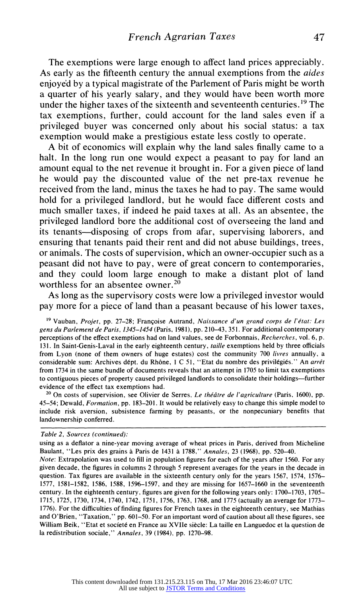The exemptions were large enough to affect land prices appreciably. As early as the fifteenth century the annual exemptions from the *aides*  enjoyed by a typical magistrate of the Parlement of Paris might be worth a quarter of his yearly salary, and they would have been worth more under the higher taxes of the sixteenth and seventeenth centuries.<sup>19</sup> The tax exemptions, further, could account for the land sales even if a privileged buyer was concerned only about his social status: a tax exemption would make a prestigious estate less costly to operate.

 A bit of economics will explain why the land sales finally came to a halt. In the long run one would expect a peasant to pay for land an amount equal to the net revenue it brought in. For a given piece of land he would pay the discounted value of the net pre-tax revenue he received from the land, minus the taxes he had to pay. The same would hold for a privileged landlord, but he would face different costs and much smaller taxes, if indeed he paid taxes at all. As an absentee, the privileged landlord bore the additional cost of overseeing the land and its tenants-disposing of crops from afar, supervising laborers, and ensuring that tenants paid their rent and did not abuse buildings, trees, or animals. The costs of supervision, which an owner-occupier such as a peasant did not have to pay, were of great concern to contemporaries, and they could loom large enough to make a distant plot of land worthless for an absentee owner.<sup>20</sup>

 As long as the supervisory costs were low a privileged investor would pay more for a piece of land than a peasant because of his lower taxes,

<sup>19</sup> Vauban, Projet, pp. 27-28; Françoise Autrand, Naissance d'un grand corps de l'état: Les gens du Parlement de Paris, 1345-1454 (Paris, 1981), pp. 210-43, 351. For additional contemporary perceptions of the effect exemptions had on land values, see de Forbonnais, Recherches, vol. 6, p. 131. In Saint-Genis-Laval in the early eighteenth century, taille exemptions held by three officials from Lyon (none of them owners of huge estates) cost the community 700 livres annually, a considerable sum: Archives dépt. du Rhône, 1 C 51, "Etat du nombre des privilégiés." An arrêt from 1734 in the same bundle of documents reveals that an attempt in 1705 to limit tax exemptions to contiguous pieces of property caused privileged landlords to consolidate their holdings-further evidence of the effect tax exemptions had.

<sup>20</sup> On costs of supervision, see Olivier de Serres, Le théâtre de l'agriculture (Paris, 1600), pp. 45-54; Dewald, Formation, pp. 183-201. It would be relatively easy to change this simple model to include risk aversion, subsistence farming by peasants, or the nonpecuniary benefits that landownership conferred.

#### Table 2, Sources (continued):

 using as a deflator a nine-year moving average of wheat prices in Paris, derived from Micheline Baulant, "Les prix des grains a Paris de 1431 a 1788," Annales, 23 (1968), pp. 520-40.

 Note: Extrapolation was used to fill in population figures for each of the years after 1560. For any given decade, the figures in columns 2 through 5 represent averages for the years in the decade in question. Tax figures are available in the sixteenth century only for the years 1567, 1574, 1576- 1577, 1581-1582, 1586, 1588, 1596-1597, and they are missing for 1657-1660 in the seventeenth century. In the eighteenth century, figures are given for the following years only: 1700-1703, 1705- 1715, 1725, 1730, 1734, 1740, 1742, 1751, 1756, 1763, 1768, and 1775 (actually an average for 1773- 1776). For the difficulties of finding figures for French taxes in the eighteenth century, see Mathias and O'Brien, "Taxation," pp. 601-50. For an important word of caution about all these figures, see William Beik, "Etat et societé en France au XVIIe siècle: La taille en Languedoc et la question de la redistribution sociale," Annales, 39 (1984), pp. 1270-98.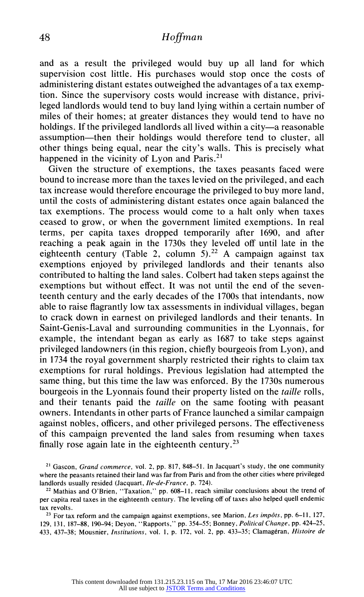and as a result the privileged would buy up all land for which supervision cost little. His purchases would stop once the costs of administering distant estates outweighed the advantages of a tax exemp tion. Since the supervisory costs would increase with distance, privi leged landlords would tend to buy land lying within a certain number of miles of their homes; at greater distances they would tend to have no holdings. If the privileged landlords all lived within a city-a reasonable assumption-then their holdings would therefore tend to cluster, all other things being equal, near the city's walls. This is precisely what happened in the vicinity of Lyon and Paris.<sup>21</sup>

 Given the structure of exemptions, the taxes peasants faced were bound to increase more than the taxes levied on the privileged, and each tax increase would therefore encourage the privileged to buy more land, until the costs of administering distant estates once again balanced the tax exemptions. The process would come to a halt only when taxes ceased to grow, or when the government limited exemptions. In real terms, per capita taxes dropped temporarily after 1690, and after reaching a peak again in the 1730s they leveled off until late in the eighteenth century (Table 2, column  $5$ ).<sup>22</sup> A campaign against tax exemptions enjoyed by privileged landlords and their tenants also contributed to halting the land sales. Colbert had taken steps against the exemptions but without effect. It was not until the end of the seven teenth century and the early decades of the 1700s that intendants, now able to raise flagrantly low tax assessments in individual villages, began to crack down in earnest on privileged landlords and their tenants. In Saint-Genis-Laval and surrounding communities in the Lyonnais, for example, the intendant began as early as 1687 to take steps against privileged landowners (in this region, chiefly bourgeois from Lyon), and in 1734 the royal government sharply restricted their rights to claim tax exemptions for rural holdings. Previous legislation had attempted the same thing, but this time the law was enforced. By the 1730s numerous bourgeois in the Lyonnais found their property listed on the *taille* rolls, and their tenants paid the taille on the same footing with peasant owners. Intendants in other parts of France launched a similar campaign against nobles, officers, and other privileged persons. The effectiveness of this campaign prevented the land sales from resuming when taxes finally rose again late in the eighteenth century.<sup>23</sup>

<sup>23</sup> For tax reform and the campaign against exemptions, see Marion, Les impôts, pp. 6–11, 127, 129, 131, 187-88, 190-94; Deyon, "Rapports," pp. 354-55; Bonney, Political Change, pp. 424-25, 433, 437-38; Mousnier, Institutions, vol. 1, p. 172, vol. 2, pp. 433-35; Clamagéran, Histoire de

<sup>&</sup>lt;sup>21</sup> Gascon, Grand commerce, vol. 2, pp. 817, 848-51. In Jacquart's study, the one community where the peasants retained their land was far from Paris and from the other cities where privileged landlords usually resided (Jacquart, Ile-de-France, p. 724).

 <sup>22</sup> Mathias and O'Brien, "Taxation," pp. 608-11, reach similar conclusions about the trend of per capita real taxes in the eighteenth century. The leveling off of taxes also helped quell endemic tax revolts.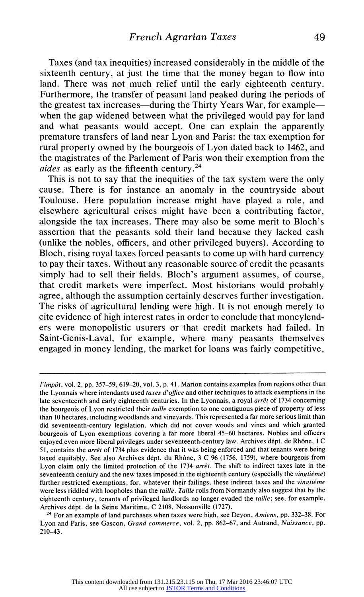Taxes (and tax inequities) increased considerably in the middle of the sixteenth century, at just the time that the money began to flow into land. There was not much relief until the early eighteenth century. Furthermore, the transfer of peasant land peaked during the periods of the greatest tax increases—during the Thirty Years War, for example when the gap widened between what the privileged would pay for land and what peasants would accept. One can explain the apparently premature transfers of land near Lyon and Paris: the tax exemption for rural property owned by the bourgeois of Lyon dated back to 1462, and the magistrates of the Parlement of Paris won their exemption from the *aides* as early as the fifteenth century.<sup>24</sup>

 This is not to say that the inequities of the tax system were the only cause. There is for instance an anomaly in the countryside about Toulouse. Here population increase might have played a role, and elsewhere agricultural crises might have been a contributing factor, alongside the tax increases. There may also be some merit to Bloch's assertion that the peasants sold their land because they lacked cash (unlike the nobles, officers, and other privileged buyers). According to Bloch, rising royal taxes forced peasants to come up with hard currency to pay their taxes. Without any reasonable source of credit the peasants simply had to sell their fields. Bloch's argument assumes, of course, that credit markets were imperfect. Most historians would probably agree, although the assumption certainly deserves further investigation. The risks of agricultural lending were high. It is not enough merely to cite evidence of high interest rates in order to conclude that moneylend ers were monopolistic usurers or that credit markets had failed. In Saint-Genis-Laval, for example, where many peasants themselves engaged in money lending, the market for loans was fairly competitive,

I'imp6t, vol. 2, pp. 357-59, 619-20, vol. 3, p. 41. Marion contains examples from regions other than the Lyonnais where intendants used *taxes d'office* and other techniques to attack exemptions in the late seventeenth and early eighteenth centuries. In the Lyonnais, a royal arrêt of 1734 concerning the bourgeois of Lyon restricted their taille exemption to one contiguous piece of property of less than 10 hectares, including woodlands and vineyards. This represented a far more serious limit than did seventeenth-century legislation, which did not cover woods and vines and which granted bourgeois of Lyon exemptions covering a far more liberal 45-60 hectares. Nobles and officers enjoyed even more liberal privileges under seventeenth-century law. Archives dépt. de Rhône, 1 C 51, contains the  $arr \hat{e}t$  of 1734 plus evidence that it was being enforced and that tenants were being taxed equitably. See also Archives dept. du Rh6ne, 3 C 96 (1756, 1759), where bourgeois from Lyon claim only the limited protection of the 1734 arrêt. The shift to indirect taxes late in the seventeenth century and the new taxes imposed in the eighteenth century (especially the *vingtième*) further restricted exemptions, for, whatever their failings, these indirect taxes and the *vingtième* were less riddled with loopholes than the taille. Taille rolls from Normandy also suggest that by the eighteenth century, tenants of privileged landlords no longer evaded the taille; see, for example, Archives dept. de la Seine Maritime, C 2108, Nossonville (1727).

<sup>&</sup>lt;sup>24</sup> For an example of land purchases when taxes were high, see Deyon, Amiens, pp. 332–38. For Lyon and Paris, see Gascon, Grand commerce, vol. 2, pp. 862-67, and Autrand, Naissance, pp. 210-43.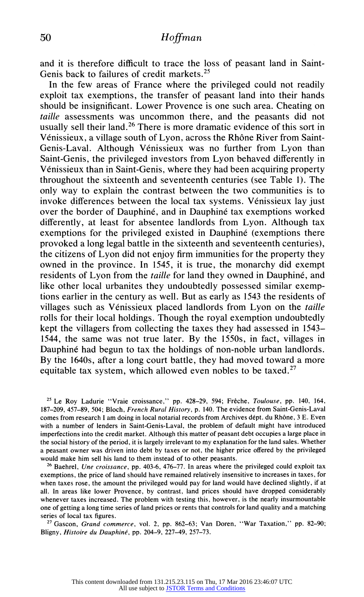and it is therefore difficult to trace the loss of peasant land in Saint- Genis back to failures of credit markets.<sup>25</sup>

 In the few areas of France where the privileged could not readily exploit tax exemptions, the transfer of peasant land into their hands should be insignificant. Lower Provence is one such area. Cheating on taille assessments was uncommon there, and the peasants did not usually sell their land.<sup>26</sup> There is more dramatic evidence of this sort in Venissieux, a village south of Lyon, across the Rhone River from Saint- Genis-Laval. Although Vénissieux was no further from Lyon than Saint-Genis, the privileged investors from Lyon behaved differently in Venissieux than in Saint-Genis, where they had been acquiring property throughout the sixteenth and seventeenth centuries (see Table 1). The only way to explain the contrast between the two communities is to invoke differences between the local tax systems. Venissieux lay just over the border of Dauphiné, and in Dauphiné tax exemptions worked differently, at least for absentee landlords from Lyon. Although tax exemptions for the privileged existed in Dauphiné (exemptions there provoked a long legal battle in the sixteenth and seventeenth centuries), the citizens of Lyon did not enjoy firm immunities for the property they owned in the province. In 1545, it is true, the monarchy did exempt residents of Lyon from the *taille* for land they owned in Dauphiné, and like other local urbanites they undoubtedly possessed similar exemp tions earlier in the century as well. But as early as 1543 the residents of villages such as Vénissieux placed landlords from Lyon on the *taille*  rolls for their local holdings. Though the royal exemption undoubtedly kept the villagers from collecting the taxes they had assessed in 1543- 1544, the same was not true later. By the 1550s, in fact, villages in Dauphiné had begun to tax the holdings of non-noble urban landlords. By the 1640s, after a long court battle, they had moved toward a more equitable tax system, which allowed even nobles to be taxed. $27$ 

<sup>25</sup> Le Roy Ladurie "Vraie croissance," pp. 428-29, 594; Frêche, Toulouse, pp. 140, 164, 187-209, 457-89, 504; Bloch, French Rural History, p. 140. The evidence from Saint-Genis-Laval comes from research I am doing in local notarial records from Archives dépt. du Rhône, 3 E. Even with a number of lenders in Saint-Genis-Laval, the problem of default might have introduced imperfections into the credit market. Although this matter of peasant debt occupies a large place in the social history of the period, it is largely irrelevant to my explanation for the land sales. Whether a peasant owner was driven into debt by taxes or not, the higher price offered by the privileged would make him sell his land to them instead of to other peasants.

<sup>26</sup> Baehrel, *Une croissance*, pp. 403-6, 476–77. In areas where the privileged could exploit tax exemptions, the price of land should have remained relatively insensitive to increases in taxes, for when taxes rose, the amount the privileged would pay for land would have declined slightly, if at all. In areas like lower Provence, by contrast, land prices should have dropped considerably whenever taxes increased. The problem with testing this, however, is the nearly insurmountable one of getting a long time series of land prices or rents that controls for land quality and a matching series of local tax figures.

<sup>27</sup> Gascon, Grand commerce, vol. 2, pp. 862–63; Van Doren, "War Taxation," pp. 82–90; Bligny, Histoire du Dauphine', pp. 204-9, 227-49, 257-73.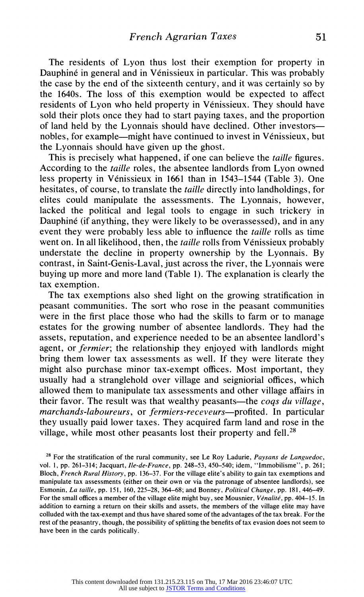The residents of Lyon thus lost their exemption for property in Dauphiné in general and in Vénissieux in particular. This was probably the case by the end of the sixteenth century, and it was certainly so by the 1640s. The loss of this exemption would be expected to affect residents of Lyon who held property in Venissieux. They should have sold their plots once they had to start paying taxes, and the proportion of land held by the Lyonnais should have declined. Other investors nobles, for example—might have continued to invest in Vénissieux, but the Lyonnais should. have given up the ghost.

This is precisely what happened, if one can believe the *taille* figures. According to the taille roles, the absentee landlords from Lyon owned less property in Venissieux in 1661 than in 1543-1544 (Table 3). One hesitates, of course, to translate the *taille* directly into landholdings, for elites could manipulate the assessments. The Lyonnais, however, lacked the political and legal tools to engage in such trickery in Dauphiné (if anything, they were likely to be overassessed), and in any event they were probably less able to influence the *taille* rolls as time went on. In all likelihood, then, the *taille* rolls from Vénissieux probably understate the decline in property ownership by the Lyonnais. By contrast, in Saint-Genis-Laval, just across the river, the Lyonnais were buying up more and more land (Table 1). The explanation is clearly the tax exemption.

 The tax exemptions also shed light on the growing stratification in peasant communities. The sort who rose in the peasant communities were in the first place those who had the skills to farm or to manage estates for the growing number of absentee landlords. They had the assets, reputation, and experience needed to be an absentee landlord's agent, or *fermier*; the relationship they enjoyed with landlords might bring them lower tax assessments as well. If they were literate they might also purchase minor tax-exempt offices. Most important, they usually had a stranglehold over village and seigniorial offices, which allowed them to manipulate tax assessments and other village affairs in their favor. The result was that wealthy peasants—the coqs du village, marchands-laboureurs, or fermiers-receveurs--profited. In particular they usually paid lower taxes. They acquired farm land and rose in the village, while most other peasants lost their property and fell. $^{28}$ 

 $28$  For the stratification of the rural community, see Le Roy Ladurie, Paysans de Languedoc, vol. 1, pp. 261-314; Jacquart, Ile-de-France, pp. 248-53, 450-540; idem, "Immobilisme", p. 261; Bloch, French Rural History, pp. 136-37. For the village elite's ability to gain tax exemptions and manipulate tax assessments (either on their own or via the patronage of absentee landlords), see Esmonin, La taille, pp. 151, 160, 225-28, 364-68; and Bonney, Political Change, pp. 181, 446-49. For the small offices a member of the village elite might buy, see Mousnier, Vénalité, pp. 404–15. In addition to earning a return on their skills and assets, the members of the village elite may have colluded with the tax-exempt and thus have shared some of the advantages of the tax break. For the rest of the peasantry, though, the possibility of splitting the benefits of tax evasion does not seem to have been in the cards politically.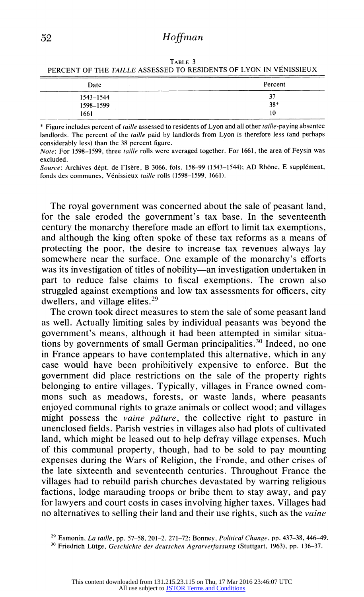| TABLE 3                                                                  |  |
|--------------------------------------------------------------------------|--|
| PERCENT OF THE <i>TAILLE</i> ASSESSED TO RESIDENTS OF LYON IN VÉNISSIEUX |  |

| Date      | Percent |
|-----------|---------|
| 1543-1544 | 37      |
| 1598-1599 | $38*$   |
| 1661      | 10      |

 \* Figure includes percent of taille assessed to residents of Lyon and all other taille-paying absentee landlords. The percent of the taille paid by landlords from Lyon is therefore less (and perhaps considerably less) than the 38 percent figure.

Note: For 1598-1599, three taille rolls were averaged together. For 1661, the area of Feysin was excluded.

Source: Archives dépt. de l'Isère, B 3066, fols. 158-99 (1543-1544); AD Rhône, E supplément, fonds des communes, Venissieux taille rolls (1598-1599, 1661).

 The royal government was concerned about the sale of peasant land, for the sale eroded the government's tax base. In the seventeenth century the monarchy therefore made an effort to limit tax exemptions, and although the king often spoke of these tax reforms as a means of protecting the poor, the desire to increase tax revenues always lay somewhere near the surface. One example of the monarchy's efforts was its investigation of titles of nobility—an investigation undertaken in part to reduce false claims to fiscal exemptions. The crown also struggled against exemptions and low tax assessments for officers, city dwellers, and village elites.<sup>29</sup>

 The crown took direct measures to stem the sale of some peasant land as well. Actually limiting sales by individual peasants was beyond the government's means, although it had been attempted in similar situa tions by governments of small German principalities.<sup>30</sup> Indeed, no one in France appears to have contemplated this alternative, which in any case would have been prohibitively expensive to enforce. But the government did place restrictions on the sale of the property rights belonging to entire villages. Typically, villages in France owned com mons such as meadows, forests, or waste lands, where peasants enjoyed communal rights to graze animals or collect wood; and villages might possess the *vaine pâture*, the collective right to pasture in unenclosed fields. Parish vestries in villages also had plots of cultivated land, which might be leased out to help defray village expenses. Much of this communal property, though, had to be sold to pay mounting expenses during the Wars of Religion, the Fronde, and other crises of the late sixteenth and seventeenth centuries. Throughout France the villages had to rebuild parish churches devastated by warring religious factions, lodge marauding troops or bribe them to stay away, and pay for lawyers and court costs in cases involving higher taxes. Villages had no alternatives to selling their land and their use rights, such as the vaine

<sup>&</sup>lt;sup>29</sup> Esmonin, La taille, pp. 57-58, 201-2, 271-72; Bonney, Political Change, pp. 437-38, 446-49.

<sup>&</sup>lt;sup>30</sup> Friedrich Lütge, Geschichte der deutschen Agrarverfassung (Stuttgart, 1963), pp. 136-37.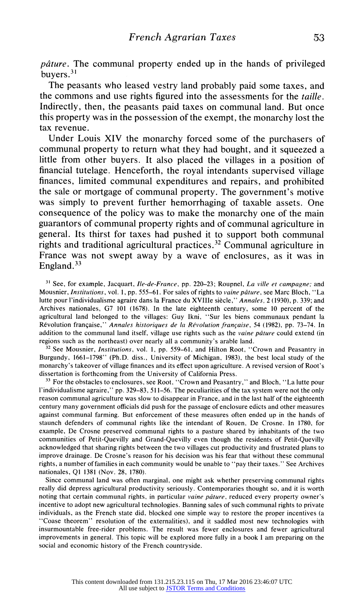pâture. The communal property ended up in the hands of privileged buyers.31

 The peasants who leased vestry land probably paid some taxes, and the commons and use rights figured into the assessments for the taille. Indirectly, then, the peasants paid taxes on communal land. But once this property was in the possession of the exempt, the monarchy lost the tax revenue.

 Under Louis XIV the monarchy forced some of the purchasers of communal property to return what they had bought, and it squeezed a little from other buyers. It also placed the villages in a position of financial tutelage. Henceforth, the royal intendants supervised village finances, limited communal expenditures and repairs, and prohibited the sale or mortgage of communal property. The government's motive was simply to prevent further hemorrhaging of taxable assets. One consequence of the policy was to make the monarchy one of the main guarantors of communal property rights and of communal agriculture in general. Its thirst for taxes had pushed it to support both communal rights and traditional agricultural practices.<sup>32</sup> Communal agriculture in France was not swept away by a wave of enclosures, as it was in England. $33$ 

<sup>31</sup> See, for example, Jacquart, *Ile-de-France*, pp. 220–23; Roupnel, *La ville et campagne;* and Mousnier, Institutions, vol. 1, pp. 555–61. For sales of rights to vaine pâture, see Marc Bloch, "La lutte pour l'individualisme agraire dans la France du XVIIIe siecle," Annales, 2 (1930), p. 339; and Archives nationales, G7 101 (1678). In the late eighteenth century, some 10 percent of the agricultural land belonged to the villages: Guy Ikni, "Sur les biens communaux pendant la Révolution française," Annales historiques de la Révolution française, 54 (1982), pp. 73-74. In addition to the communal land itself, village use rights such as the vaine pâture could extend (in regions such as the northeast) over nearly all a community's arable land.

 $32$  See Mousnier, *Institutions*, vol. 1, pp. 559–61, and Hilton Root, "Crown and Peasantry in Burgundy, 1661-1798" (Ph.D. diss., University of Michigan, 1983), the best local study of the monarchy's takeover of village finances and its effect upon agriculture. A revised version of Root's dissertation is forthcoming from the University of California Press.

<sup>33</sup> For the obstacles to enclosures, see Root, "Crown and Peasantry," and Bloch, "La lutte pour l'individualisme agraire," pp. 329-83, 511-56. The peculiarities of the tax system were not the only reason communal agriculture was slow to disappear in France, and in the last half of the eighteenth century many government officials did push for the passage of enclosure edicts and other measures against communal farming. But enforcement of these measures often ended up in the hands of staunch defenders of communal rights like the intendant of Rouen, De Crosne. In 1780, for example, De Crosne preserved communal rights to a pasture shared by inhabitants of the two communities of Petit-Quevilly and Grand-Quevilly even though the residents of Petit-Quevilly acknowledged that sharing rights between the two villages cut productivity and frustrated plans to improve drainage. De Crosne's reason for his decision was his fear that without these communal rights, a number of families in each community would be unable to "pay their taxes." See Archives nationales, Q1 1381 (Nov. 28, 1780).

 Since communal land was often marginal, one might ask whether preserving communal rights really did depress agricultural productivity seriously. Contemporaries thought so, and it is worth noting that certain communal rights, in particular vaine pâture, reduced every property owner's incentive to adopt new agricultural technologies. Banning sales of such communal rights to private individuals, as the French state did, blocked one simple way to restore the proper incentives (a "Coase theorem" resolution of the externalities), and it saddled most new technologies with insurmountable free-rider problems. The result was fewer enclosures and fewer agricultural improvements in general. This topic will be explored more fully in a book I am preparing on the social and economic history of the French countryside.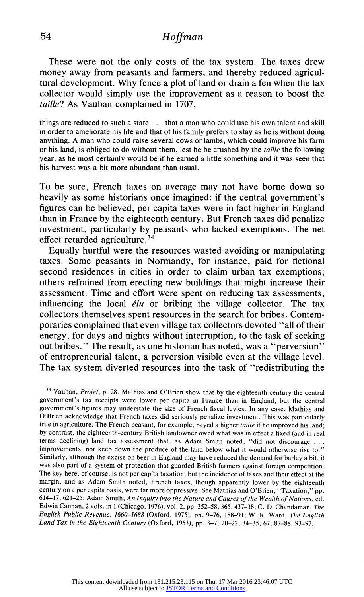These were not the only costs of the tax system. The taxes drew money away from peasants and farmers, and thereby reduced agricul tural development. Why fence a plot of land or drain a fen when the tax collector would simply use the improvement as a reason to boost the taille? As Vauban complained in 1707,

 things are reduced to such a state . . . that a man who could use his own talent and skill in order to ameliorate his life and that of his family prefers to stay as he is without doing anything. A man who could raise several cows or lambs, which could improve his farm or his land, is obliged to do without them, lest he be crushed by the *taille* the following year, as he most certainly would be if he earned a little something and it was seen that his harvest was a bit more abundant than usual.

 To be sure, French taxes on average may not have borne down so heavily as some historians once imagined: if the central government's figures can be believed, per capita taxes were in fact higher in England than in France by the eighteenth century. But French taxes did penalize investment, particularly by peasants who lacked exemptions. The net effect retarded agriculture.<sup>34</sup>

 Equally hurtful were the resources wasted avoiding or manipulating taxes. Some peasants in Normandy, for instance, paid for fictional second residences in cities in order to claim urban tax exemptions; others refrained from erecting new buildings that might increase their assessment. Time and effort were spent on reducing tax assessments, influencing the local  $\acute{e}l\dot{u}$  or bribing the village collector. The tax collectors themselves spent resources in the search for bribes. Contem poraries complained that even village tax collectors devoted "all of their energy, for days and nights without interruption, to the task of seeking out bribes." The result, as one historian has noted, was a "perversion" of entrepreneurial talent, a perversion visible even at the village level. The tax system diverted resources into the task of "redistributing the

<sup>34</sup> Vauban, Projet, p. 28. Mathias and O'Brien show that by the eighteenth century the central government's tax receipts were lower per capita in France than in England, but the central government's figures may understate the size of French fiscal levies. In any case, Mathias and O'Brien acknowledge that French taxes did seriously penalize investment. This was particularly true in agriculture. The French peasant, for example, payed a higher *taille* if he improved his land; by contrast, the eighteenth-century British landowner owed what was in effect a fixed (and in real terms declining) land tax assessment that, as Adam Smith noted, "did not discourage ... improvements, nor keep down the produce of the land below what it would otherwise rise to." Similarly, although the excise on beer in England may have reduced the demand for barley a bit, it was also part of a system of protection that guarded British farmers against foreign competition. The key here, of course, is not per capita taxation, but the incidence of taxes and their effect at the margin, and as Adam Smith noted, French taxes, though apparently lower by the eighteenth century on a per capita basis, were far more oppressive. See Mathias and O'Brien, "Taxation," pp. 614-17, 621-25; Adam Smith, An Inquiry into the Nature and Causes of the Wealth of Nations, ed. Edwin Cannan, 2 vols. in 1 (Chicago, 1976), vol. 2, pp. 352-58, 365, 437-38; C. D. Chandaman, The English Public Revenue, 1660-1688 (Oxford, 1975), pp. 9-76, 188-91; W. R. Ward, The English Land Tax in the Eighteenth Century (Oxford, 1953), pp. 3-7, 20-22, 34-35, 67, 87-88, 93-97.